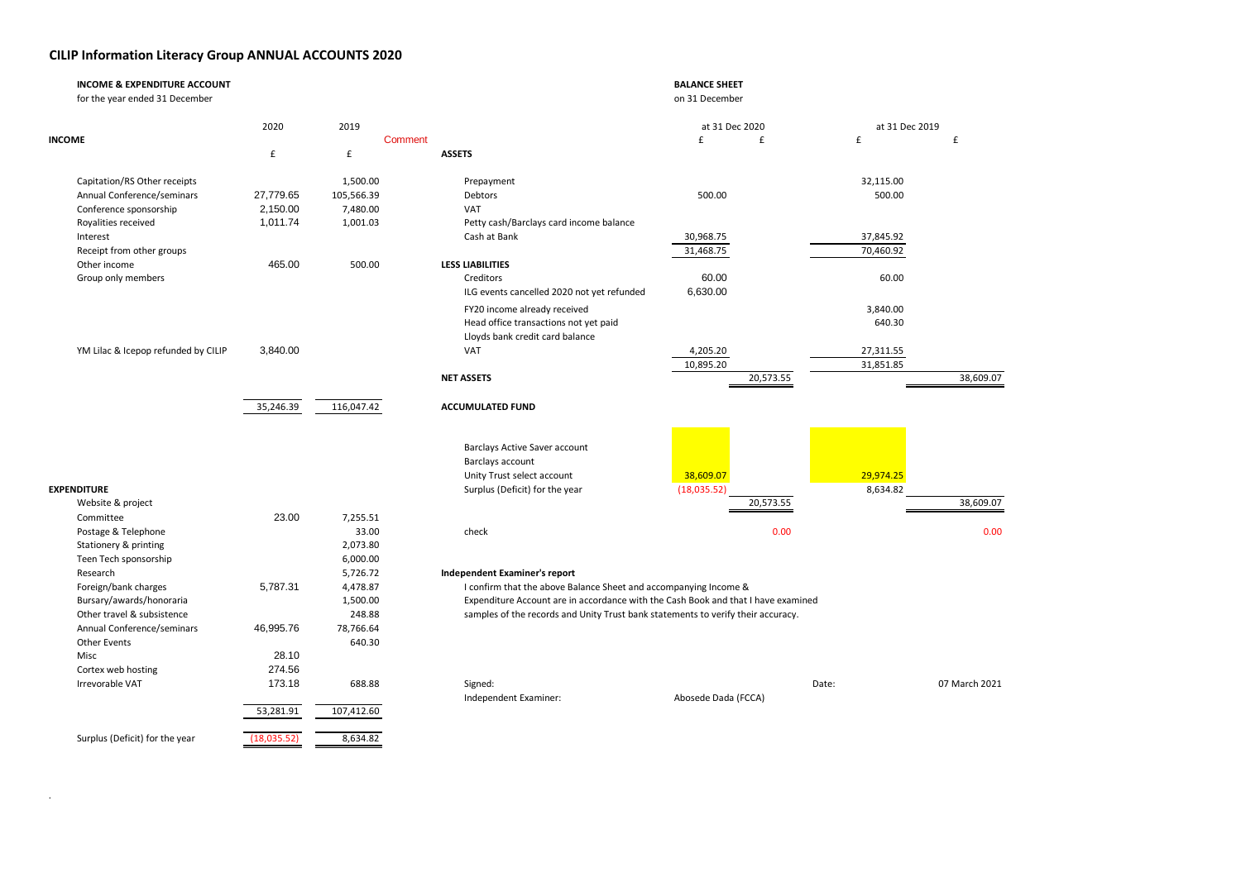## **CILIP Information Literacy Group ANNUAL ACCOUNTS 2020**

.

|        | <b>INCOME &amp; EXPENDITURE ACCOUNT</b><br>for the year ended 31 December |             |                    |                                                                                  | <b>BALANCE SHEET</b><br>on 31 December                                            |                |               |
|--------|---------------------------------------------------------------------------|-------------|--------------------|----------------------------------------------------------------------------------|-----------------------------------------------------------------------------------|----------------|---------------|
|        |                                                                           | 2020        | 2019               |                                                                                  | at 31 Dec 2020                                                                    | at 31 Dec 2019 |               |
| INCOME |                                                                           |             | Comment            |                                                                                  | £<br>£                                                                            | £              | £             |
|        |                                                                           | £           | $\pmb{\mathsf{f}}$ | <b>ASSETS</b>                                                                    |                                                                                   |                |               |
|        | Capitation/RS Other receipts                                              |             | 1,500.00           | Prepayment                                                                       |                                                                                   | 32,115.00      |               |
|        | Annual Conference/seminars                                                | 27,779.65   | 105,566.39         | Debtors                                                                          | 500.00                                                                            | 500.00         |               |
|        | Conference sponsorship                                                    | 2,150.00    | 7,480.00           | VAT                                                                              |                                                                                   |                |               |
|        | Royalities received                                                       | 1,011.74    | 1,001.03           | Petty cash/Barclays card income balance                                          |                                                                                   |                |               |
|        | Interest                                                                  |             |                    | Cash at Bank                                                                     | 30,968.75                                                                         | 37,845.92      |               |
|        | Receipt from other groups                                                 |             |                    |                                                                                  | 31,468.75                                                                         | 70,460.92      |               |
|        | Other income                                                              | 465.00      | 500.00             | <b>LESS LIABILITIES</b>                                                          |                                                                                   |                |               |
|        | Group only members                                                        |             |                    | Creditors                                                                        | 60.00                                                                             | 60.00          |               |
|        |                                                                           |             |                    | ILG events cancelled 2020 not yet refunded                                       | 6,630.00                                                                          |                |               |
|        |                                                                           |             |                    | FY20 income already received                                                     |                                                                                   | 3,840.00       |               |
|        |                                                                           |             |                    | Head office transactions not yet paid                                            |                                                                                   | 640.30         |               |
|        |                                                                           |             |                    | Lloyds bank credit card balance                                                  |                                                                                   |                |               |
|        | YM Lilac & Icepop refunded by CILIP                                       | 3,840.00    |                    | VAT                                                                              | 4,205.20                                                                          | 27,311.55      |               |
|        |                                                                           |             |                    |                                                                                  | 10,895.20                                                                         | 31,851.85      |               |
|        |                                                                           |             |                    | <b>NET ASSETS</b>                                                                | 20,573.55                                                                         |                | 38,609.07     |
|        |                                                                           |             |                    |                                                                                  |                                                                                   |                |               |
|        |                                                                           | 35,246.39   | 116,047.42         | <b>ACCUMULATED FUND</b>                                                          |                                                                                   |                |               |
|        |                                                                           |             |                    |                                                                                  |                                                                                   |                |               |
|        |                                                                           |             |                    | Barclays Active Saver account                                                    |                                                                                   |                |               |
|        |                                                                           |             |                    | Barclays account                                                                 |                                                                                   |                |               |
|        |                                                                           |             |                    | Unity Trust select account                                                       | 38,609.07                                                                         | 29,974.25      |               |
|        | <b>EXPENDITURE</b>                                                        |             |                    | Surplus (Deficit) for the year                                                   | (18,035.52)                                                                       | 8,634.82       |               |
|        | Website & project                                                         |             |                    |                                                                                  | 20,573.55                                                                         |                | 38,609.07     |
|        | Committee                                                                 | 23.00       | 7,255.51           |                                                                                  |                                                                                   |                |               |
|        | Postage & Telephone                                                       |             | 33.00              | check                                                                            | 0.00                                                                              |                | 0.00          |
|        | Stationery & printing                                                     |             | 2,073.80           |                                                                                  |                                                                                   |                |               |
|        | Teen Tech sponsorship                                                     |             | 6,000.00           |                                                                                  |                                                                                   |                |               |
|        | Research                                                                  |             | 5,726.72           | Independent Examiner's report                                                    |                                                                                   |                |               |
|        | Foreign/bank charges                                                      | 5,787.31    | 4,478.87           | I confirm that the above Balance Sheet and accompanying Income &                 |                                                                                   |                |               |
|        | Bursary/awards/honoraria                                                  |             | 1,500.00           |                                                                                  | Expenditure Account are in accordance with the Cash Book and that I have examined |                |               |
|        | Other travel & subsistence                                                |             | 248.88             | samples of the records and Unity Trust bank statements to verify their accuracy. |                                                                                   |                |               |
|        | Annual Conference/seminars                                                | 46,995.76   | 78,766.64          |                                                                                  |                                                                                   |                |               |
|        | Other Events                                                              |             | 640.30             |                                                                                  |                                                                                   |                |               |
|        | Misc                                                                      | 28.10       |                    |                                                                                  |                                                                                   |                |               |
|        | Cortex web hosting                                                        | 274.56      |                    |                                                                                  |                                                                                   |                |               |
|        | Irrevorable VAT                                                           | 173.18      | 688.88             | Signed:                                                                          |                                                                                   | Date:          | 07 March 2021 |
|        |                                                                           |             |                    | Independent Examiner:                                                            | Abosede Dada (FCCA)                                                               |                |               |
|        |                                                                           | 53,281.91   | 107,412.60         |                                                                                  |                                                                                   |                |               |
|        | Surplus (Deficit) for the year                                            | (18,035.52) | 8,634.82           |                                                                                  |                                                                                   |                |               |
|        |                                                                           |             |                    |                                                                                  |                                                                                   |                |               |